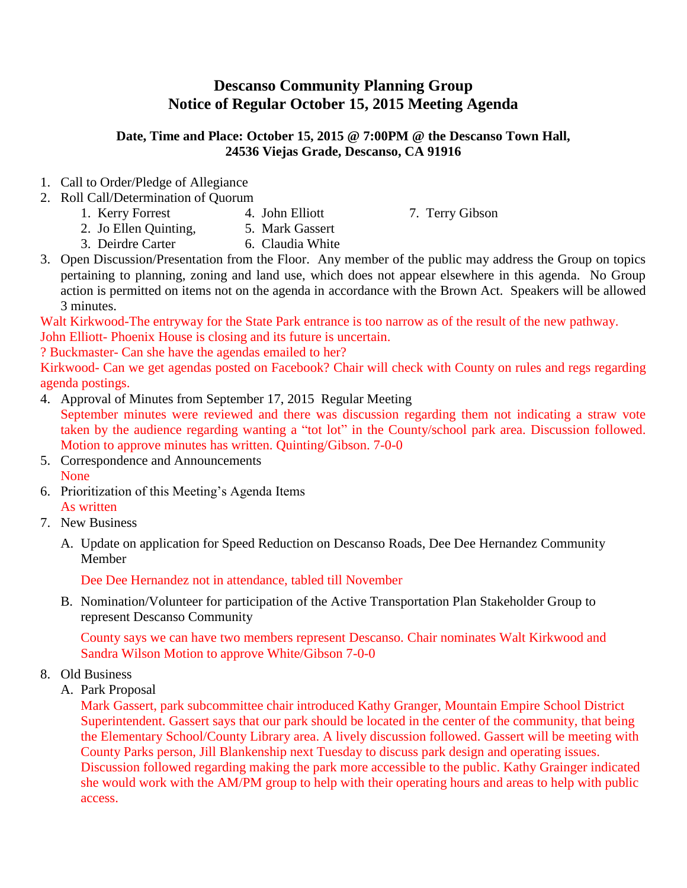## **Descanso Community Planning Group Notice of Regular October 15, 2015 Meeting Agenda**

## **Date, Time and Place: October 15, 2015 @ 7:00PM @ the Descanso Town Hall, 24536 Viejas Grade, Descanso, CA 91916**

- 1. Call to Order/Pledge of Allegiance
- 2. Roll Call/Determination of Quorum
	- 1. Kerry Forrest 4. John Elliott 7. Terry Gibson

- 2. Jo Ellen Quinting, 5. Mark Gassert
- 3. Deirdre Carter 6. Claudia White
- 3. Open Discussion/Presentation from the Floor. Any member of the public may address the Group on topics pertaining to planning, zoning and land use, which does not appear elsewhere in this agenda. No Group action is permitted on items not on the agenda in accordance with the Brown Act. Speakers will be allowed 3 minutes.

Walt Kirkwood-The entryway for the State Park entrance is too narrow as of the result of the new pathway. John Elliott- Phoenix House is closing and its future is uncertain.

? Buckmaster- Can she have the agendas emailed to her?

Kirkwood- Can we get agendas posted on Facebook? Chair will check with County on rules and regs regarding agenda postings.

4. Approval of Minutes from September 17, 2015 Regular Meeting

September minutes were reviewed and there was discussion regarding them not indicating a straw vote taken by the audience regarding wanting a "tot lot" in the County/school park area. Discussion followed. Motion to approve minutes has written. Quinting/Gibson. 7-0-0

- 5. Correspondence and Announcements None
- 6. Prioritization of this Meeting's Agenda Items As written
- 7. New Business
	- A. Update on application for Speed Reduction on Descanso Roads, Dee Dee Hernandez Community Member

Dee Dee Hernandez not in attendance, tabled till November

B. Nomination/Volunteer for participation of the Active Transportation Plan Stakeholder Group to represent Descanso Community

County says we can have two members represent Descanso. Chair nominates Walt Kirkwood and Sandra Wilson Motion to approve White/Gibson 7-0-0

- 8. Old Business
	- A. Park Proposal

Mark Gassert, park subcommittee chair introduced Kathy Granger, Mountain Empire School District Superintendent. Gassert says that our park should be located in the center of the community, that being the Elementary School/County Library area. A lively discussion followed. Gassert will be meeting with County Parks person, Jill Blankenship next Tuesday to discuss park design and operating issues. Discussion followed regarding making the park more accessible to the public. Kathy Grainger indicated she would work with the AM/PM group to help with their operating hours and areas to help with public access.